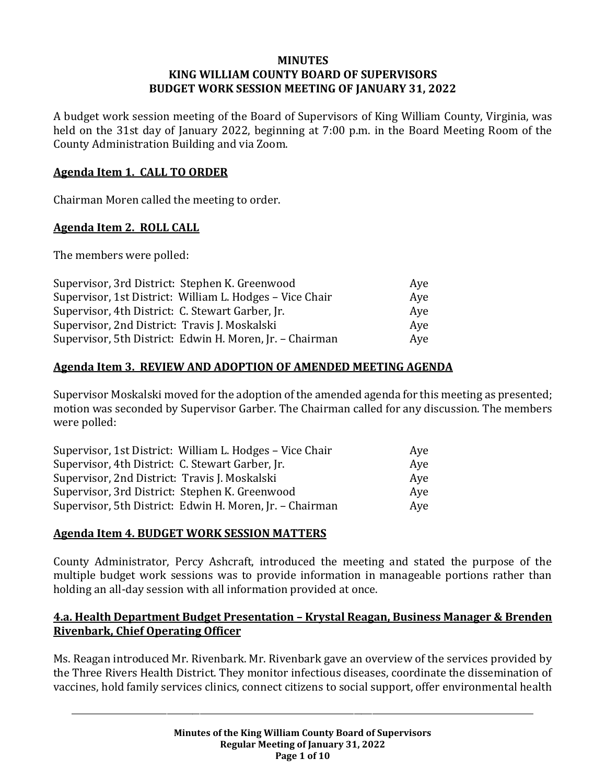#### **MINUTES KING WILLIAM COUNTY BOARD OF SUPERVISORS BUDGET WORK SESSION MEETING OF JANUARY 31, 2022**

A budget work session meeting of the Board of Supervisors of King William County, Virginia, was held on the 31st day of January 2022, beginning at 7:00 p.m. in the Board Meeting Room of the County Administration Building and via Zoom.

### **Agenda Item 1. CALL TO ORDER**

Chairman Moren called the meeting to order.

## **Agenda Item 2. ROLL CALL**

The members were polled:

| Supervisor, 3rd District: Stephen K. Greenwood           | Ave |
|----------------------------------------------------------|-----|
| Supervisor, 1st District: William L. Hodges - Vice Chair | Aye |
| Supervisor, 4th District: C. Stewart Garber, Jr.         | Ave |
| Supervisor, 2nd District: Travis J. Moskalski            | Aye |
| Supervisor, 5th District: Edwin H. Moren, Jr. - Chairman | Aye |

## **Agenda Item 3. REVIEW AND ADOPTION OF AMENDED MEETING AGENDA**

Supervisor Moskalski moved for the adoption of the amended agenda for this meeting as presented; motion was seconded by Supervisor Garber. The Chairman called for any discussion. The members were polled:

| Supervisor, 1st District: William L. Hodges - Vice Chair | Ave |
|----------------------------------------------------------|-----|
| Supervisor, 4th District: C. Stewart Garber, Jr.         | Aye |
| Supervisor, 2nd District: Travis J. Moskalski            | Ave |
| Supervisor, 3rd District: Stephen K. Greenwood           | Aye |
| Supervisor, 5th District: Edwin H. Moren, Jr. - Chairman | Ave |

### **Agenda Item 4. BUDGET WORK SESSION MATTERS**

County Administrator, Percy Ashcraft, introduced the meeting and stated the purpose of the multiple budget work sessions was to provide information in manageable portions rather than holding an all-day session with all information provided at once.

### **4.a. Health Department Budget Presentation – Krystal Reagan, Business Manager & Brenden Rivenbark, Chief Operating Officer**

Ms. Reagan introduced Mr. Rivenbark. Mr. Rivenbark gave an overview of the services provided by the Three Rivers Health District. They monitor infectious diseases, coordinate the dissemination of vaccines, hold family services clinics, connect citizens to social support, offer environmental health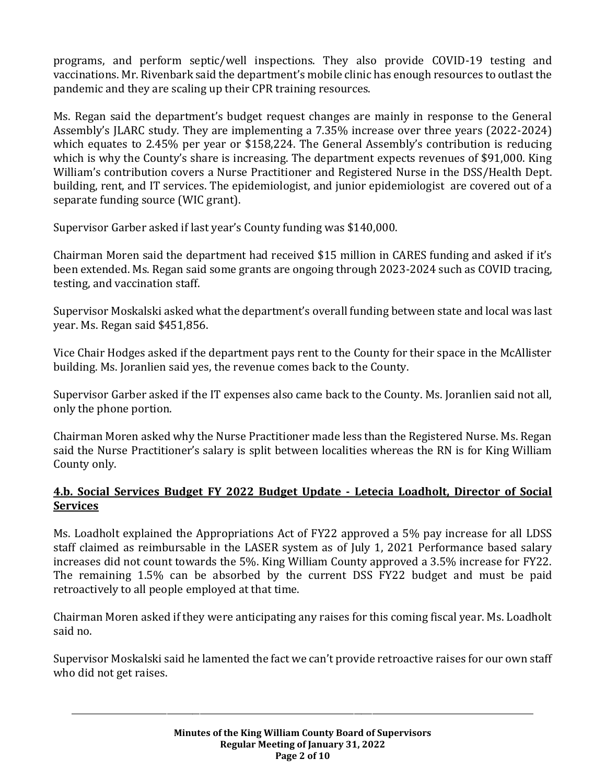programs, and perform septic/well inspections. They also provide COVID-19 testing and vaccinations. Mr. Rivenbark said the department's mobile clinic has enough resources to outlast the pandemic and they are scaling up their CPR training resources.

Ms. Regan said the department's budget request changes are mainly in response to the General Assembly's JLARC study. They are implementing a 7.35% increase over three years (2022-2024) which equates to 2.45% per year or \$158,224. The General Assembly's contribution is reducing which is why the County's share is increasing. The department expects revenues of \$91,000. King William's contribution covers a Nurse Practitioner and Registered Nurse in the DSS/Health Dept. building, rent, and IT services. The epidemiologist, and junior epidemiologist are covered out of a separate funding source (WIC grant).

Supervisor Garber asked if last year's County funding was \$140,000.

Chairman Moren said the department had received \$15 million in CARES funding and asked if it's been extended. Ms. Regan said some grants are ongoing through 2023-2024 such as COVID tracing, testing, and vaccination staff.

Supervisor Moskalski asked what the department's overall funding between state and local was last year. Ms. Regan said \$451,856.

Vice Chair Hodges asked if the department pays rent to the County for their space in the McAllister building. Ms. Joranlien said yes, the revenue comes back to the County.

Supervisor Garber asked if the IT expenses also came back to the County. Ms. Joranlien said not all, only the phone portion.

Chairman Moren asked why the Nurse Practitioner made less than the Registered Nurse. Ms. Regan said the Nurse Practitioner's salary is split between localities whereas the RN is for King William County only.

# **4.b. Social Services Budget FY 2022 Budget Update - Letecia Loadholt, Director of Social Services**

Ms. Loadholt explained the Appropriations Act of FY22 approved a 5% pay increase for all LDSS staff claimed as reimbursable in the LASER system as of July 1, 2021 Performance based salary increases did not count towards the 5%. King William County approved a 3.5% increase for FY22. The remaining 1.5% can be absorbed by the current DSS FY22 budget and must be paid retroactively to all people employed at that time.

Chairman Moren asked if they were anticipating any raises for this coming fiscal year. Ms. Loadholt said no.

Supervisor Moskalski said he lamented the fact we can't provide retroactive raises for our own staff who did not get raises.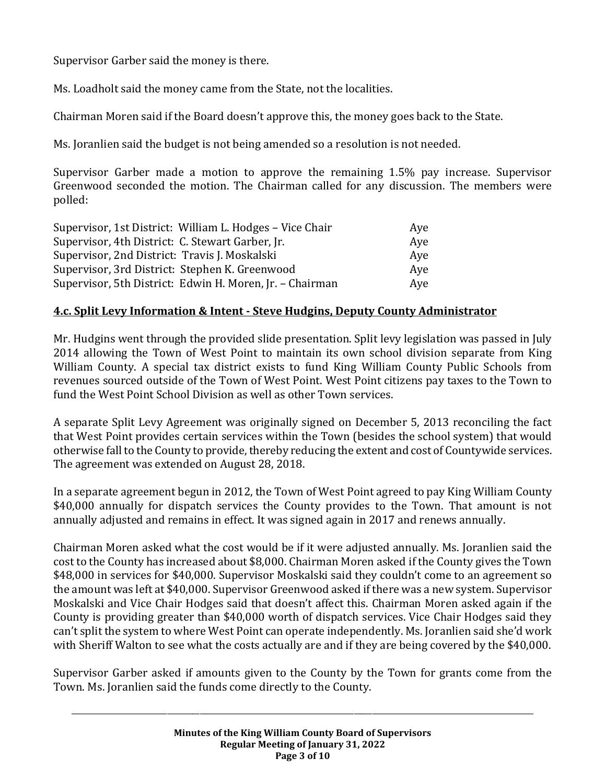Supervisor Garber said the money is there.

Ms. Loadholt said the money came from the State, not the localities.

Chairman Moren said if the Board doesn't approve this, the money goes back to the State.

Ms. Joranlien said the budget is not being amended so a resolution is not needed.

Supervisor Garber made a motion to approve the remaining 1.5% pay increase. Supervisor Greenwood seconded the motion. The Chairman called for any discussion. The members were polled:

| Supervisor, 1st District: William L. Hodges - Vice Chair | Ave |
|----------------------------------------------------------|-----|
| Supervisor, 4th District: C. Stewart Garber, Jr.         | Aye |
| Supervisor, 2nd District: Travis J. Moskalski            | Aye |
| Supervisor, 3rd District: Stephen K. Greenwood           | Ave |
| Supervisor, 5th District: Edwin H. Moren, Jr. - Chairman | Aye |

## **4.c. Split Levy Information & Intent - Steve Hudgins, Deputy County Administrator**

Mr. Hudgins went through the provided slide presentation. Split levy legislation was passed in July 2014 allowing the Town of West Point to maintain its own school division separate from King William County. A special tax district exists to fund King William County Public Schools from revenues sourced outside of the Town of West Point. West Point citizens pay taxes to the Town to fund the West Point School Division as well as other Town services.

A separate Split Levy Agreement was originally signed on December 5, 2013 reconciling the fact that West Point provides certain services within the Town (besides the school system) that would otherwise fall to the County to provide, thereby reducing the extent and cost of Countywide services. The agreement was extended on August 28, 2018.

In a separate agreement begun in 2012, the Town of West Point agreed to pay King William County \$40,000 annually for dispatch services the County provides to the Town. That amount is not annually adjusted and remains in effect. It was signed again in 2017 and renews annually.

Chairman Moren asked what the cost would be if it were adjusted annually. Ms. Joranlien said the cost to the County has increased about \$8,000. Chairman Moren asked if the County gives the Town \$48,000 in services for \$40,000. Supervisor Moskalski said they couldn't come to an agreement so the amount was left at \$40,000. Supervisor Greenwood asked if there was a new system. Supervisor Moskalski and Vice Chair Hodges said that doesn't affect this. Chairman Moren asked again if the County is providing greater than \$40,000 worth of dispatch services. Vice Chair Hodges said they can't split the system to where West Point can operate independently. Ms. Joranlien said she'd work with Sheriff Walton to see what the costs actually are and if they are being covered by the \$40,000.

Supervisor Garber asked if amounts given to the County by the Town for grants come from the Town. Ms. Joranlien said the funds come directly to the County.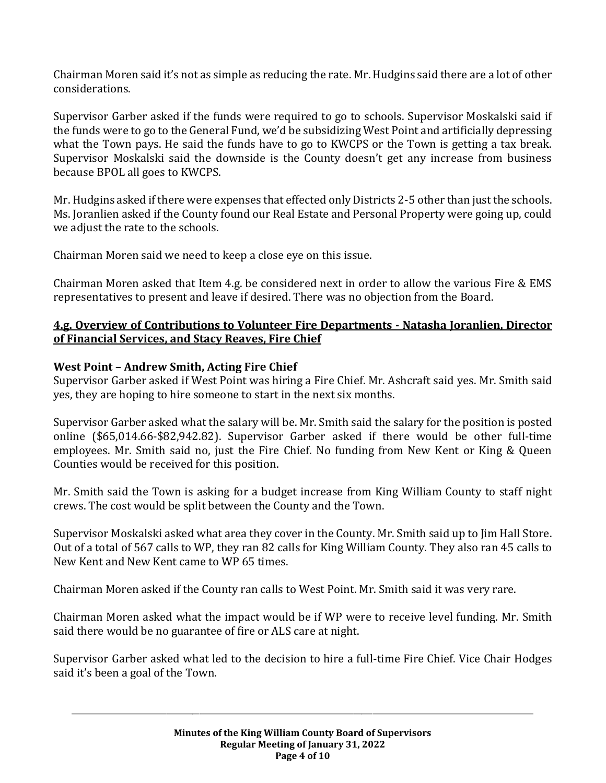Chairman Moren said it's not as simple as reducing the rate. Mr. Hudgins said there are a lot of other considerations.

Supervisor Garber asked if the funds were required to go to schools. Supervisor Moskalski said if the funds were to go to the General Fund, we'd be subsidizing West Point and artificially depressing what the Town pays. He said the funds have to go to KWCPS or the Town is getting a tax break. Supervisor Moskalski said the downside is the County doesn't get any increase from business because BPOL all goes to KWCPS.

Mr. Hudgins asked if there were expenses that effected only Districts 2-5 other than just the schools. Ms. Joranlien asked if the County found our Real Estate and Personal Property were going up, could we adjust the rate to the schools.

Chairman Moren said we need to keep a close eye on this issue.

Chairman Moren asked that Item 4.g. be considered next in order to allow the various Fire & EMS representatives to present and leave if desired. There was no objection from the Board.

### **4.g. Overview of Contributions to Volunteer Fire Departments - Natasha Joranlien, Director of Financial Services, and Stacy Reaves, Fire Chief**

## **West Point – Andrew Smith, Acting Fire Chief**

Supervisor Garber asked if West Point was hiring a Fire Chief. Mr. Ashcraft said yes. Mr. Smith said yes, they are hoping to hire someone to start in the next six months.

Supervisor Garber asked what the salary will be. Mr. Smith said the salary for the position is posted online (\$65,014.66-\$82,942.82). Supervisor Garber asked if there would be other full-time employees. Mr. Smith said no, just the Fire Chief. No funding from New Kent or King & Queen Counties would be received for this position.

Mr. Smith said the Town is asking for a budget increase from King William County to staff night crews. The cost would be split between the County and the Town.

Supervisor Moskalski asked what area they cover in the County. Mr. Smith said up to Jim Hall Store. Out of a total of 567 calls to WP, they ran 82 calls for King William County. They also ran 45 calls to New Kent and New Kent came to WP 65 times.

Chairman Moren asked if the County ran calls to West Point. Mr. Smith said it was very rare.

Chairman Moren asked what the impact would be if WP were to receive level funding. Mr. Smith said there would be no guarantee of fire or ALS care at night.

Supervisor Garber asked what led to the decision to hire a full-time Fire Chief. Vice Chair Hodges said it's been a goal of the Town.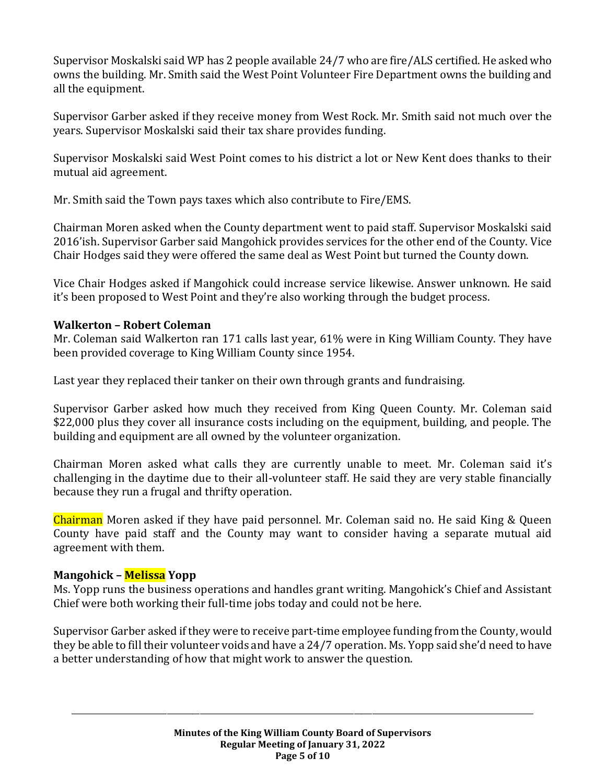Supervisor Moskalski said WP has 2 people available 24/7 who are fire/ALS certified. He asked who owns the building. Mr. Smith said the West Point Volunteer Fire Department owns the building and all the equipment.

Supervisor Garber asked if they receive money from West Rock. Mr. Smith said not much over the years. Supervisor Moskalski said their tax share provides funding.

Supervisor Moskalski said West Point comes to his district a lot or New Kent does thanks to their mutual aid agreement.

Mr. Smith said the Town pays taxes which also contribute to Fire/EMS.

Chairman Moren asked when the County department went to paid staff. Supervisor Moskalski said 2016'ish. Supervisor Garber said Mangohick provides services for the other end of the County. Vice Chair Hodges said they were offered the same deal as West Point but turned the County down.

Vice Chair Hodges asked if Mangohick could increase service likewise. Answer unknown. He said it's been proposed to West Point and they're also working through the budget process.

## **Walkerton – Robert Coleman**

Mr. Coleman said Walkerton ran 171 calls last year, 61% were in King William County. They have been provided coverage to King William County since 1954.

Last year they replaced their tanker on their own through grants and fundraising.

Supervisor Garber asked how much they received from King Queen County. Mr. Coleman said \$22,000 plus they cover all insurance costs including on the equipment, building, and people. The building and equipment are all owned by the volunteer organization.

Chairman Moren asked what calls they are currently unable to meet. Mr. Coleman said it's challenging in the daytime due to their all-volunteer staff. He said they are very stable financially because they run a frugal and thrifty operation.

Chairman Moren asked if they have paid personnel. Mr. Coleman said no. He said King & Queen County have paid staff and the County may want to consider having a separate mutual aid agreement with them.

### **Mangohick – Melissa Yopp**

Ms. Yopp runs the business operations and handles grant writing. Mangohick's Chief and Assistant Chief were both working their full-time jobs today and could not be here.

Supervisor Garber asked if they were to receive part-time employee funding from the County, would they be able to fill their volunteer voids and have a 24/7 operation. Ms. Yopp said she'd need to have a better understanding of how that might work to answer the question.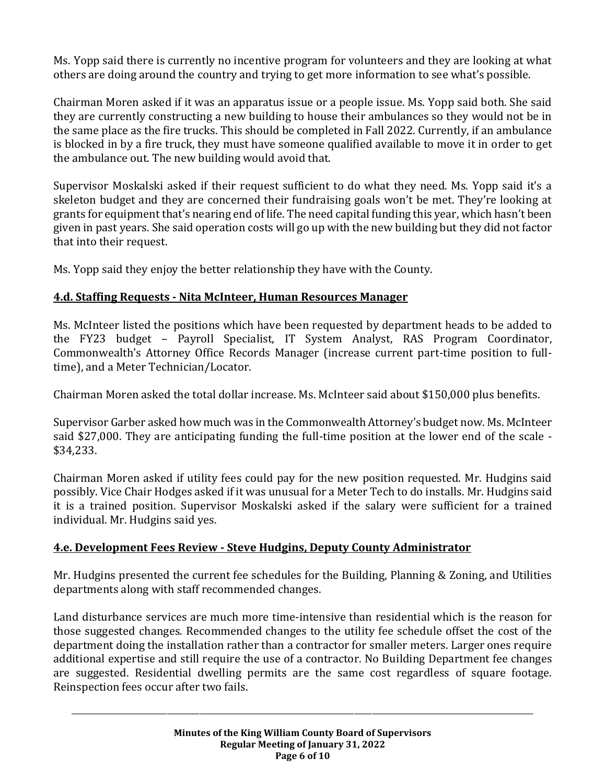Ms. Yopp said there is currently no incentive program for volunteers and they are looking at what others are doing around the country and trying to get more information to see what's possible.

Chairman Moren asked if it was an apparatus issue or a people issue. Ms. Yopp said both. She said they are currently constructing a new building to house their ambulances so they would not be in the same place as the fire trucks. This should be completed in Fall 2022. Currently, if an ambulance is blocked in by a fire truck, they must have someone qualified available to move it in order to get the ambulance out. The new building would avoid that.

Supervisor Moskalski asked if their request sufficient to do what they need. Ms. Yopp said it's a skeleton budget and they are concerned their fundraising goals won't be met. They're looking at grants for equipment that's nearing end of life. The need capital funding this year, which hasn't been given in past years. She said operation costs will go up with the new building but they did not factor that into their request.

Ms. Yopp said they enjoy the better relationship they have with the County.

# **4.d. Staffing Requests - Nita McInteer, Human Resources Manager**

Ms. McInteer listed the positions which have been requested by department heads to be added to the FY23 budget – Payroll Specialist, IT System Analyst, RAS Program Coordinator, Commonwealth's Attorney Office Records Manager (increase current part-time position to fulltime), and a Meter Technician/Locator.

Chairman Moren asked the total dollar increase. Ms. McInteer said about \$150,000 plus benefits.

Supervisor Garber asked how much was in the Commonwealth Attorney's budget now. Ms. McInteer said \$27,000. They are anticipating funding the full-time position at the lower end of the scale - \$34,233.

Chairman Moren asked if utility fees could pay for the new position requested. Mr. Hudgins said possibly. Vice Chair Hodges asked if it was unusual for a Meter Tech to do installs. Mr. Hudgins said it is a trained position. Supervisor Moskalski asked if the salary were sufficient for a trained individual. Mr. Hudgins said yes.

# **4.e. Development Fees Review - Steve Hudgins, Deputy County Administrator**

Mr. Hudgins presented the current fee schedules for the Building, Planning & Zoning, and Utilities departments along with staff recommended changes.

Land disturbance services are much more time-intensive than residential which is the reason for those suggested changes. Recommended changes to the utility fee schedule offset the cost of the department doing the installation rather than a contractor for smaller meters. Larger ones require additional expertise and still require the use of a contractor. No Building Department fee changes are suggested. Residential dwelling permits are the same cost regardless of square footage. Reinspection fees occur after two fails.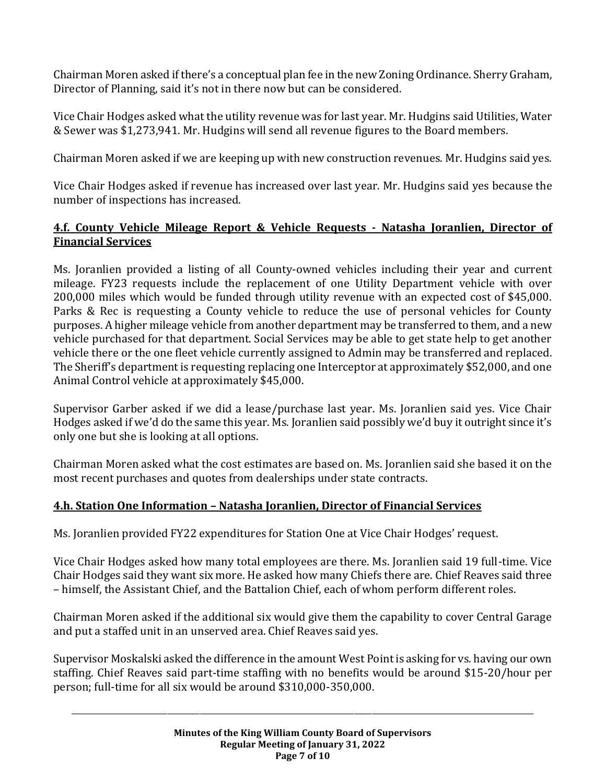Chairman Moren asked if there's a conceptual plan fee in the new Zoning Ordinance. Sherry Graham, Director of Planning, said it's not in there now but can be considered.

Vice Chair Hodges asked what the utility revenue was for last year. Mr. Hudgins said Utilities, Water & Sewer was \$1,273,941. Mr. Hudgins will send all revenue figures to the Board members.

Chairman Moren asked if we are keeping up with new construction revenues. Mr. Hudgins said yes.

Vice Chair Hodges asked if revenue has increased over last year. Mr. Hudgins said yes because the number of inspections has increased.

## **4.f. County Vehicle Mileage Report & Vehicle Requests - Natasha Joranlien, Director of Financial Services**

Ms. Joranlien provided a listing of all County-owned vehicles including their year and current mileage. FY23 requests include the replacement of one Utility Department vehicle with over 200,000 miles which would be funded through utility revenue with an expected cost of \$45,000. Parks & Rec is requesting a County vehicle to reduce the use of personal vehicles for County purposes. A higher mileage vehicle from another department may be transferred to them, and a new vehicle purchased for that department. Social Services may be able to get state help to get another vehicle there or the one fleet vehicle currently assigned to Admin may be transferred and replaced. The Sheriff's department is requesting replacing one Interceptor at approximately \$52,000, and one Animal Control vehicle at approximately \$45,000.

Supervisor Garber asked if we did a lease/purchase last year. Ms. Joranlien said yes. Vice Chair Hodges asked if we'd do the same this year. Ms. Joranlien said possibly we'd buy it outright since it's only one but she is looking at all options.

Chairman Moren asked what the cost estimates are based on. Ms. Joranlien said she based it on the most recent purchases and quotes from dealerships under state contracts.

# **4.h. Station One Information – Natasha Joranlien, Director of Financial Services**

Ms. Joranlien provided FY22 expenditures for Station One at Vice Chair Hodges' request.

Vice Chair Hodges asked how many total employees are there. Ms. Joranlien said 19 full-time. Vice Chair Hodges said they want six more. He asked how many Chiefs there are. Chief Reaves said three – himself, the Assistant Chief, and the Battalion Chief, each of whom perform different roles.

Chairman Moren asked if the additional six would give them the capability to cover Central Garage and put a staffed unit in an unserved area. Chief Reaves said yes.

Supervisor Moskalski asked the difference in the amount West Point is asking for vs. having our own staffing. Chief Reaves said part-time staffing with no benefits would be around \$15-20/hour per person; full-time for all six would be around \$310,000-350,000.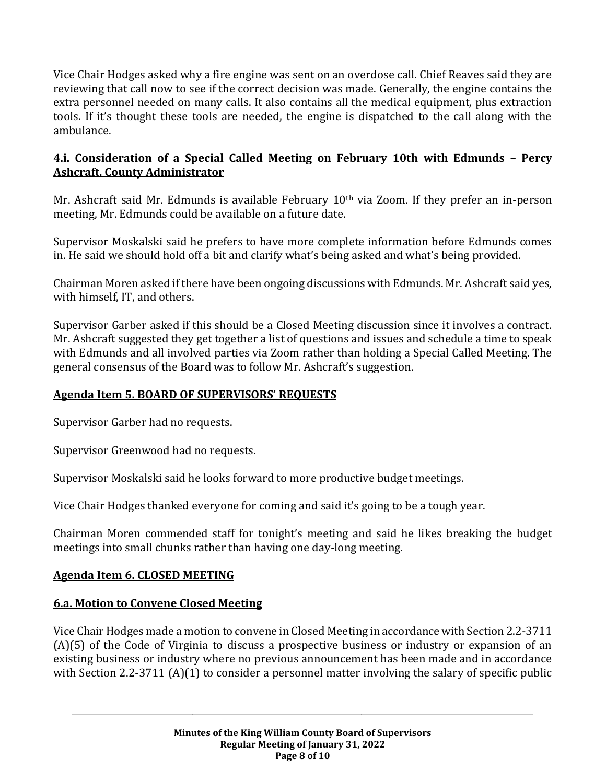Vice Chair Hodges asked why a fire engine was sent on an overdose call. Chief Reaves said they are reviewing that call now to see if the correct decision was made. Generally, the engine contains the extra personnel needed on many calls. It also contains all the medical equipment, plus extraction tools. If it's thought these tools are needed, the engine is dispatched to the call along with the ambulance.

## **4.i. Consideration of a Special Called Meeting on February 10th with Edmunds – Percy Ashcraft, County Administrator**

Mr. Ashcraft said Mr. Edmunds is available February 10<sup>th</sup> via Zoom. If they prefer an in-person meeting, Mr. Edmunds could be available on a future date.

Supervisor Moskalski said he prefers to have more complete information before Edmunds comes in. He said we should hold off a bit and clarify what's being asked and what's being provided.

Chairman Moren asked if there have been ongoing discussions with Edmunds. Mr. Ashcraft said yes, with himself, IT, and others.

Supervisor Garber asked if this should be a Closed Meeting discussion since it involves a contract. Mr. Ashcraft suggested they get together a list of questions and issues and schedule a time to speak with Edmunds and all involved parties via Zoom rather than holding a Special Called Meeting. The general consensus of the Board was to follow Mr. Ashcraft's suggestion.

# **Agenda Item 5. BOARD OF SUPERVISORS' REQUESTS**

Supervisor Garber had no requests.

Supervisor Greenwood had no requests.

Supervisor Moskalski said he looks forward to more productive budget meetings.

Vice Chair Hodges thanked everyone for coming and said it's going to be a tough year.

Chairman Moren commended staff for tonight's meeting and said he likes breaking the budget meetings into small chunks rather than having one day-long meeting.

### **Agenda Item 6. CLOSED MEETING**

# **6.a. Motion to Convene Closed Meeting**

Vice Chair Hodges made a motion to convene in Closed Meeting in accordance with Section 2.2-3711 (A)(5) of the Code of Virginia to discuss a prospective business or industry or expansion of an existing business or industry where no previous announcement has been made and in accordance with Section 2.2-3711 (A)(1) to consider a personnel matter involving the salary of specific public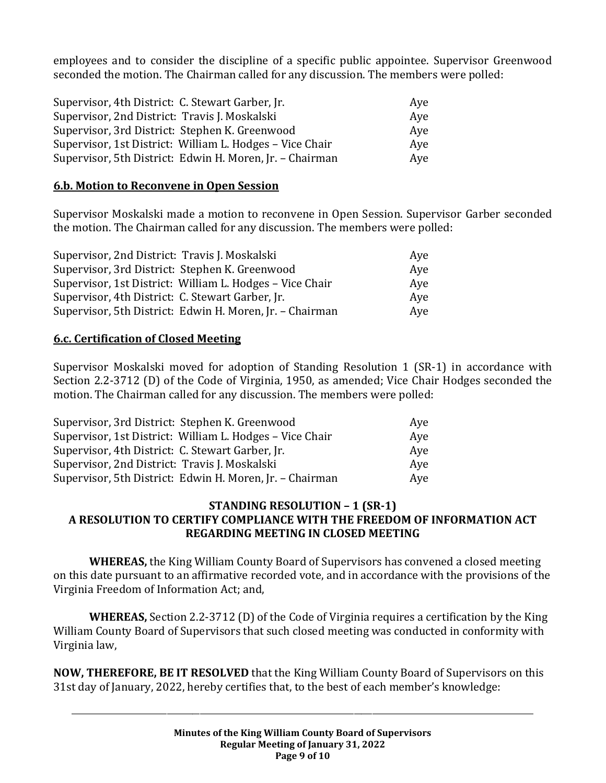employees and to consider the discipline of a specific public appointee. Supervisor Greenwood seconded the motion. The Chairman called for any discussion. The members were polled:

| Supervisor, 4th District: C. Stewart Garber, Jr.         | Aye |
|----------------------------------------------------------|-----|
| Supervisor, 2nd District: Travis J. Moskalski            | Aye |
| Supervisor, 3rd District: Stephen K. Greenwood           | Aye |
| Supervisor, 1st District: William L. Hodges - Vice Chair | Ave |
| Supervisor, 5th District: Edwin H. Moren, Jr. - Chairman | Aye |

#### **6.b. Motion to Reconvene in Open Session**

Supervisor Moskalski made a motion to reconvene in Open Session. Supervisor Garber seconded the motion. The Chairman called for any discussion. The members were polled:

| Supervisor, 2nd District: Travis J. Moskalski            | Ave |
|----------------------------------------------------------|-----|
| Supervisor, 3rd District: Stephen K. Greenwood           | Aye |
| Supervisor, 1st District: William L. Hodges – Vice Chair | Aye |
| Supervisor, 4th District: C. Stewart Garber, Jr.         | Aye |
| Supervisor, 5th District: Edwin H. Moren, Jr. - Chairman | Aye |

#### **6.c. Certification of Closed Meeting**

Supervisor Moskalski moved for adoption of Standing Resolution 1 (SR-1) in accordance with Section 2.2-3712 (D) of the Code of Virginia, 1950, as amended; Vice Chair Hodges seconded the motion. The Chairman called for any discussion. The members were polled:

| Supervisor, 3rd District: Stephen K. Greenwood           | Aye |
|----------------------------------------------------------|-----|
| Supervisor, 1st District: William L. Hodges - Vice Chair | Aye |
| Supervisor, 4th District: C. Stewart Garber, Jr.         | Aye |
| Supervisor, 2nd District: Travis J. Moskalski            | Aye |
| Supervisor, 5th District: Edwin H. Moren, Jr. - Chairman | Ave |

### **STANDING RESOLUTION – 1 (SR-1) A RESOLUTION TO CERTIFY COMPLIANCE WITH THE FREEDOM OF INFORMATION ACT REGARDING MEETING IN CLOSED MEETING**

**WHEREAS,** the King William County Board of Supervisors has convened a closed meeting on this date pursuant to an affirmative recorded vote, and in accordance with the provisions of the Virginia Freedom of Information Act; and,

**WHEREAS,** Section 2.2-3712 (D) of the Code of Virginia requires a certification by the King William County Board of Supervisors that such closed meeting was conducted in conformity with Virginia law,

**NOW, THEREFORE, BE IT RESOLVED** that the King William County Board of Supervisors on this 31st day of January, 2022, hereby certifies that, to the best of each member's knowledge: